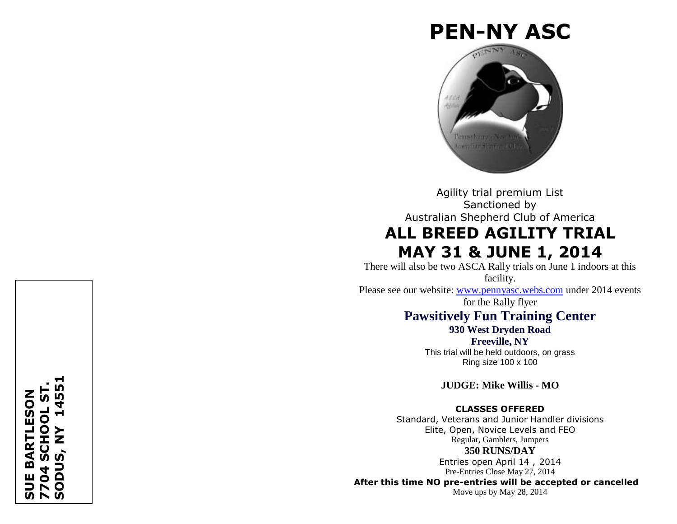# **PEN -NY ASC**



Agility trial premium List Sanctioned by Australian Shepherd Club of America **ALL BREED AGILITY TRIAL MAY 31 & JUNE 1, 2014** 

There will also be two ASCA Rally trials on June 1 indoors at this facility.

Please see our website: [www.pennyasc.webs.com](http://www.pennyasc.webs.com/) under 2014 events for the Rally flyer

# **Pawsitively Fun Training Center**

**930 West Dryden Road Freeville, NY**

This trial will be held outdoors, on grass Ring size 100 x 100

**JUDGE: Mike Willis - MO**

# **CLASSES OFFERED**

Standard, Veterans and Junior Handler divisions Elite, Open, Novice Levels and FEO Regular, Gamblers, Jumpers **350 RUNS/DAY**

> Entries open April 14, 2014 Pre -Entries Close May 27, 2014

**After this time NO pre -entries will be accepted or cancelled**

Move ups by May 28, 2014

# **SODUS, NY 145517704 SCHOOL ST. BARTLESON SUE BARTLESON** ່ທ SCHOOL ᆋ  $\mathbf{\Sigma}$ ш  $\mathbf{\overline{\mathsf{D}}}$  $\circ$  $\blacktriangleright$ ഗ r w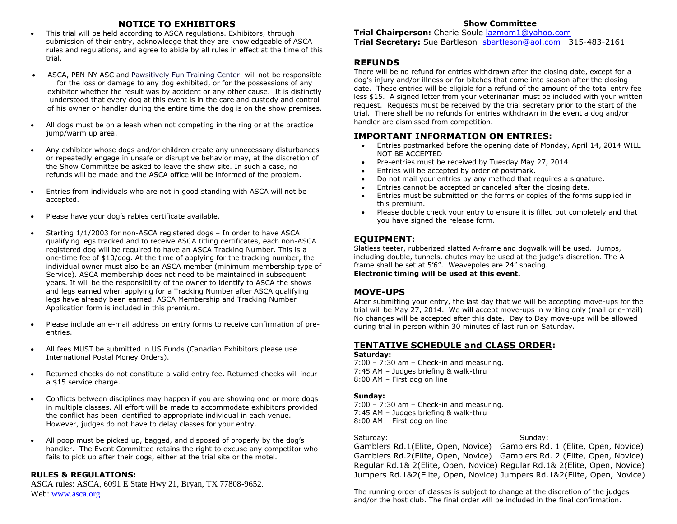# **NOTICE TO EXHIBITORS**

- This trial will be held according to ASCA regulations. Exhibitors, through submission of their entry, acknowledge that they are knowledgeable of ASCA rules and regulations, and agree to abide by all rules in effect at the time of this trial.
- ASCA, PEN-NY ASC and Pawsitively Fun Training Center will not be responsible for the loss or damage to any dog exhibited, or for the possessions of any exhibitor whether the result was by accident or any other cause. It is distinctly understood that every dog at this event is in the care and custody and control of his owner or handler during the entire time the dog is on the show premises.
- All dogs must be on a leash when not competing in the ring or at the practice jump/warm up area.
- Any exhibitor whose dogs and/or children create any unnecessary disturbances or repeatedly engage in unsafe or disruptive behavior may, at the discretion of the Show Committee be asked to leave the show site. In such a case, no refunds will be made and the ASCA office will be informed of the problem.
- Entries from individuals who are not in good standing with ASCA will not be accepted.
- Please have your dog's rabies certificate available.
- Starting 1/1/2003 for non-ASCA registered dogs In order to have ASCA qualifying legs tracked and to receive ASCA titling certificates, each non-ASCA registered dog will be required to have an ASCA Tracking Number. This is a one-time fee of \$10/dog. At the time of applying for the tracking number, the individual owner must also be an ASCA member (minimum membership type of Service). ASCA membership does not need to be maintained in subsequent years. It will be the responsibility of the owner to identify to ASCA the shows and legs earned when applying for a Tracking Number after ASCA qualifying legs have already been earned. ASCA Membership and Tracking Number Application form is included in this premium**.**
- Please include an e-mail address on entry forms to receive confirmation of preentries.
- All fees MUST be submitted in US Funds (Canadian Exhibitors please use International Postal Money Orders).
- Returned checks do not constitute a valid entry fee. Returned checks will incur a \$15 service charge.
- Conflicts between disciplines may happen if you are showing one or more dogs in multiple classes. All effort will be made to accommodate exhibitors provided the conflict has been identified to appropriate individual in each venue. However, judges do not have to delay classes for your entry.
- All poop must be picked up, bagged, and disposed of properly by the dog's handler. The Event Committee retains the right to excuse any competitor who fails to pick up after their dogs, either at the trial site or the motel.

# **RULES & REGULATIONS:**

ASCA rules: ASCA, 6091 E State Hwy 21, Bryan, TX 77808-9652. Web: www.asca.org

#### **Show Committee**

**Trial Chairperson:** Cherie Soule [lazmom1@yahoo.com](mailto:lazmom1@yahoo.com) **Trial Secretary:** Sue Bartleson [sbartleson@aol.com](mailto:sbartleson@aol.com) 315-483-2161

# **REFUNDS**

There will be no refund for entries withdrawn after the closing date, except for a dog's injury and/or illness or for bitches that come into season after the closing date. These entries will be eligible for a refund of the amount of the total entry fee less \$15. A signed letter from your veterinarian must be included with your written request. Requests must be received by the trial secretary prior to the start of the trial. There shall be no refunds for entries withdrawn in the event a dog and/or handler are dismissed from competition.

# **IMPORTANT INFORMATION ON ENTRIES:**

- Entries postmarked before the opening date of Monday, April 14, 2014 WILL NOT BE ACCEPTED
- Pre-entries must be received by Tuesday May 27, 2014
- Entries will be accepted by order of postmark.
- Do not mail your entries by any method that requires a signature.
- Entries cannot be accepted or canceled after the closing date.
- Entries must be submitted on the forms or copies of the forms supplied in this premium.
- Please double check your entry to ensure it is filled out completely and that you have signed the release form.

# **EQUIPMENT:**

Slatless teeter, rubberized slatted A-frame and dogwalk will be used. Jumps, including double, tunnels, chutes may be used at the judge's discretion. The Aframe shall be set at 5'6". Weavepoles are 24" spacing. **Electronic timing will be used at this event.**

# **MOVE-UPS**

After submitting your entry, the last day that we will be accepting move-ups for the trial will be May 27, 2014. We will accept move-ups in writing only (mail or e-mail) No changes will be accepted after this date. Day to Day move-ups will be allowed during trial in person within 30 minutes of last run on Saturday.

# **TENTATIVE SCHEDULE and CLASS ORDER:**

#### **Saturday:**

7:00 – 7:30 am – Check-in and measuring. 7:45 AM – Judges briefing & walk-thru 8:00 AM – First dog on line

#### **Sunday:**

7:00 – 7:30 am – Check-in and measuring. 7:45 AM – Judges briefing & walk-thru 8:00 AM – First dog on line

#### Saturday: Saturday: Sunday: Sunday: Sunday: Sunday: Sunday: Sunday: Sunday: Sunday: Sunday: Sunday: Sunday: Sunday: Sunday: Sunday: Sunday: Sunday: Sunday: Sunday: Sunday: Sunday: Sunday: Sunday: Sunday: Sunday: Sunday: Su

Gamblers Rd.1(Elite, Open, Novice) Gamblers Rd. 1 (Elite, Open, Novice) Gamblers Rd.2(Elite, Open, Novice) Gamblers Rd. 2 (Elite, Open, Novice) Regular Rd.1& 2(Elite, Open, Novice) Regular Rd.1& 2(Elite, Open, Novice) Jumpers Rd.1&2(Elite, Open, Novice) Jumpers Rd.1&2(Elite, Open, Novice)

The running order of classes is subject to change at the discretion of the judges and/or the host club. The final order will be included in the final confirmation.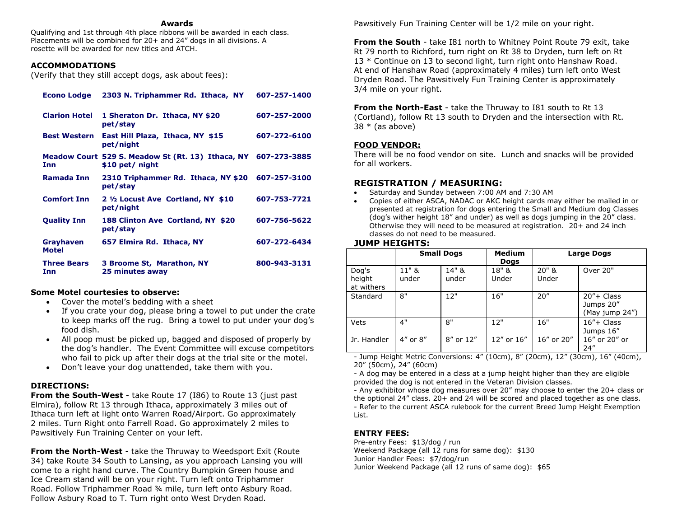#### **Awards**

Qualifying and 1st through 4th place ribbons will be awarded in each class. Placements will be combined for 20+ and 24" dogs in all divisions. A rosette will be awarded for new titles and ATCH.

#### **ACCOMMODATIONS**

(Verify that they still accept dogs, ask about fees):

| <b>Econo Lodge</b>        | 2303 N. Triphammer Rd. Ithaca, NY                                                 | 607-257-1400 |
|---------------------------|-----------------------------------------------------------------------------------|--------------|
| <b>Clarion Hotel</b>      | 1 Sheraton Dr. Ithaca, NY \$20<br>pet/stay                                        | 607-257-2000 |
| <b>Best Western</b>       | East Hill Plaza, Ithaca, NY \$15<br>pet/night                                     | 607-272-6100 |
| Inn                       | Meadow Court 529 S. Meadow St (Rt. 13) Ithaca, NY 607-273-3885<br>\$10 pet/ night |              |
| <b>Ramada Inn</b>         | 2310 Triphammer Rd. Ithaca, NY \$20<br>pet/stay                                   | 607-257-3100 |
| <b>Comfort Inn</b>        | 2 1/2 Locust Ave Cortland, NY \$10<br>pet/night                                   | 607-753-7721 |
| <b>Quality Inn</b>        | 188 Clinton Ave Cortland, NY \$20<br>pet/stay                                     | 607-756-5622 |
| Grayhaven<br><b>Motel</b> | 657 Elmira Rd. Ithaca, NY                                                         | 607-272-6434 |
| <b>Three Bears</b><br>Inn | 3 Broome St, Marathon, NY<br>25 minutes away                                      | 800-943-3131 |

#### **Some Motel courtesies to observe:**

- Cover the motel's bedding with a sheet
- If you crate your dog, please bring a towel to put under the crate to keep marks off the rug. Bring a towel to put under your dog's food dish.
- All poop must be picked up, bagged and disposed of properly by the dog's handler. The Event Committee will excuse competitors who fail to pick up after their dogs at the trial site or the motel.
- Don't leave your dog unattended, take them with you.

#### **DIRECTIONS:**

**From the South-West** - take Route 17 (I86) to Route 13 (just past Elmira), follow Rt 13 through Ithaca, approximately 3 miles out of Ithaca turn left at light onto Warren Road/Airport. Go approximately 2 miles. Turn Right onto Farrell Road. Go approximately 2 miles to Pawsitively Fun Training Center on your left.

**From the North-West** - take the Thruway to Weedsport Exit (Route 34) take Route 34 South to Lansing, as you approach Lansing you will come to a right hand curve. The Country Bumpkin Green house and Ice Cream stand will be on your right. Turn left onto Triphammer Road. Follow Triphammer Road ¾ mile, turn left onto Asbury Road. Follow Asbury Road to T. Turn right onto West Dryden Road.

Pawsitively Fun Training Center will be 1/2 mile on your right.

**From the South** - take I81 north to Whitney Point Route 79 exit, take Rt 79 north to Richford, turn right on Rt 38 to Dryden, turn left on Rt 13 \* Continue on 13 to second light, turn right onto Hanshaw Road. At end of Hanshaw Road (approximately 4 miles) turn left onto West Dryden Road. The Pawsitively Fun Training Center is approximately 3/4 mile on your right.

**From the North-East** - take the Thruway to I81 south to Rt 13 (Cortland), follow Rt 13 south to Dryden and the intersection with Rt.  $38 * (as above)$ 

#### **FOOD VENDOR:**

There will be no food vendor on site. Lunch and snacks will be provided for all workers.

# **REGISTRATION / MEASURING:**

- Saturday and Sunday between 7:00 AM and 7:30 AM
- Copies of either ASCA, NADAC or AKC height cards may either be mailed in or presented at registration for dogs entering the Small and Medium dog Classes (dog's wither height 18" and under) as well as dogs jumping in the 20" class. Otherwise they will need to be measured at registration. 20+ and 24 inch classes do not need to be measured.

#### **JUMP HEIGHTS:**

|                               |                | <b>Small Dogs</b> | <b>Medium</b><br><b>Dogs</b> | <b>Large Dogs</b> |                                               |  |  |
|-------------------------------|----------------|-------------------|------------------------------|-------------------|-----------------------------------------------|--|--|
| Dog's<br>height<br>at withers | 11" &<br>under | 14" &<br>under    | 18" &<br>Under               | $20"$ &<br>Under  | Over 20"                                      |  |  |
| Standard                      | 8"             | 12"               | 16"                          | 20''              | $20''$ + Class<br>Jumps 20"<br>(May jump 24") |  |  |
| Vets                          | 4"             | 8"                | 12"                          | 16"               | $16'' + Class$<br>Jumps 16"                   |  |  |
| Jr. Handler                   | 4" or 8"       | 8" or 12"         | 12" or 16"                   | 16" or 20"        | 16" or 20" or<br>24''                         |  |  |

- Jump Height Metric Conversions: 4" (10cm), 8" (20cm), 12" (30cm), 16" (40cm), 20" (50cm), 24" (60cm)

- A dog may be entered in a class at a jump height higher than they are eligible provided the dog is not entered in the Veteran Division classes.

- Any exhibitor whose dog measures over 20" may choose to enter the 20+ class or the optional 24" class. 20+ and 24 will be scored and placed together as one class. - Refer to the current ASCA rulebook for the current Breed Jump Height Exemption List.

# **ENTRY FEES:**

Pre-entry Fees: \$13/dog / run Weekend Package (all 12 runs for same dog): \$130 Junior Handler Fees: \$7/dog/run Junior Weekend Package (all 12 runs of same dog): \$65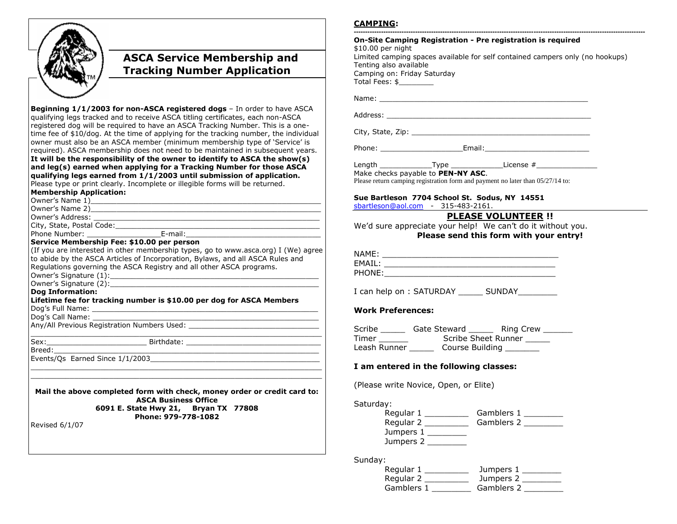

# **ASCA Service Membership and Tracking Number Application**

**Beginning 1/1/2003 for non-ASCA registered dogs** – In order to have ASCA qualifying legs tracked and to receive ASCA titling certificates, each non-ASCA registered dog will be required to have an ASCA Tracking Number. This is a onetime fee of \$10/dog. At the time of applying for the tracking number, the individual owner must also be an ASCA member (minimum membership type of 'Service' is required). ASCA membership does not need to be maintained in subsequent years. **It will be the responsibility of the owner to identify to ASCA the show(s) and leg(s) earned when applying for a Tracking Number for those ASCA qualifying legs earned from 1/1/2003 until submission of application.**  Please type or print clearly. Incomplete or illegible forms will be returned.

**Membership Application:** 

| <b>MENDERSING APP</b>                        |  |
|----------------------------------------------|--|
| $Q_{\text{max}} = \frac{1}{2}$ News $\leq 1$ |  |

| Owner's Name 1) |  |
|-----------------|--|
| Owner's Name 2) |  |

Owner's Address: \_\_\_\_\_\_\_\_\_\_\_\_\_\_\_\_\_\_\_\_\_\_\_\_\_\_\_\_\_\_\_\_\_\_\_\_\_\_\_\_\_\_\_\_\_\_\_\_\_\_\_\_

City, State, Postal Code:  $\Box$ Phone Number: \_\_\_\_\_\_\_\_\_\_\_\_\_\_\_\_\_E-mail:\_\_\_\_\_\_\_\_\_\_\_\_\_\_\_\_\_\_\_\_\_\_\_\_\_\_\_\_\_\_\_

#### **Service Membership Fee: \$10.00 per person**

(If you are interested in other membership types, go to www.asca.org) I (We) agree to abide by the ASCA Articles of Incorporation, Bylaws, and all ASCA Rules and Regulations governing the ASCA Registry and all other ASCA programs. Owner's Signature (1):\_\_\_\_\_\_\_\_\_\_\_\_\_\_\_\_\_\_\_\_\_\_\_\_\_\_\_\_\_\_\_\_\_\_\_\_\_\_\_\_\_\_\_\_\_\_\_\_

 $\Box$ 

Owner's Signature (2):

#### **Dog Information:**

**Lifetime fee for tracking number is \$10.00 per dog for ASCA Members**  Dog's Full Name: \_\_\_\_\_\_\_\_\_\_\_\_\_\_\_\_\_\_\_\_\_\_\_\_\_\_\_\_\_\_\_\_\_\_\_\_\_\_\_\_\_\_\_\_\_\_\_\_\_\_\_\_

Dog's Call Name:

Any/All Previous Registration Numbers Used: \_\_\_\_\_\_\_\_\_\_\_\_\_\_\_\_\_\_\_\_\_\_\_\_\_\_\_\_\_\_

Sex:\_\_\_\_\_\_\_\_\_\_\_\_\_\_\_\_\_\_\_\_\_\_\_ Birthdate: \_\_\_\_\_\_\_\_\_\_\_\_\_\_\_\_\_\_\_\_\_\_\_\_\_\_\_\_\_\_\_

Breed:\_\_\_\_\_\_\_\_\_\_\_\_\_\_\_\_\_\_\_\_\_\_\_\_\_\_\_\_\_\_\_\_\_\_\_\_\_\_\_\_\_\_\_\_\_\_\_\_\_\_\_\_\_\_\_\_\_\_\_\_\_

Events/Qs Earned Since 1/1/2003\_\_\_\_\_\_\_\_\_\_\_\_\_\_\_\_\_\_\_\_\_\_\_\_\_\_\_\_\_\_\_\_\_\_\_\_\_\_\_

**Mail the above completed form with check, money order or credit card to: ASCA Business Office 6091 E. State Hwy 21, Bryan TX 77808**

**Phone: 979-778-1082** 

Revised 6/1/07

# **CAMPING:**

| Tenting also available<br>Camping on: Friday Saturday<br>Total Fees: \$__________                                                                |                                                                                                                                                                                                                                |
|--------------------------------------------------------------------------------------------------------------------------------------------------|--------------------------------------------------------------------------------------------------------------------------------------------------------------------------------------------------------------------------------|
|                                                                                                                                                  |                                                                                                                                                                                                                                |
|                                                                                                                                                  |                                                                                                                                                                                                                                |
|                                                                                                                                                  | Name: when the contract of the contract of the contract of the contract of the contract of the contract of the contract of the contract of the contract of the contract of the contract of the contract of the contract of the |
|                                                                                                                                                  |                                                                                                                                                                                                                                |
|                                                                                                                                                  |                                                                                                                                                                                                                                |
|                                                                                                                                                  | Phone: ________________________________Email:___________________________________                                                                                                                                               |
|                                                                                                                                                  | Length ________________Type ________________License #___________________________                                                                                                                                               |
| Make checks payable to PEN-NY ASC.                                                                                                               |                                                                                                                                                                                                                                |
|                                                                                                                                                  | Please return camping registration form and payment no later than 05/27/14 to:                                                                                                                                                 |
| Sue Bartleson 7704 School St. Sodus, NY 14551                                                                                                    |                                                                                                                                                                                                                                |
| sbartleson@aol.com - 315-483-2161.                                                                                                               |                                                                                                                                                                                                                                |
|                                                                                                                                                  | <b>PLEASE VOLUNTEER !!</b>                                                                                                                                                                                                     |
|                                                                                                                                                  | We'd sure appreciate your help! We can't do it without you.                                                                                                                                                                    |
|                                                                                                                                                  |                                                                                                                                                                                                                                |
|                                                                                                                                                  |                                                                                                                                                                                                                                |
|                                                                                                                                                  | Please send this form with your entry!                                                                                                                                                                                         |
|                                                                                                                                                  |                                                                                                                                                                                                                                |
|                                                                                                                                                  |                                                                                                                                                                                                                                |
|                                                                                                                                                  |                                                                                                                                                                                                                                |
|                                                                                                                                                  |                                                                                                                                                                                                                                |
|                                                                                                                                                  |                                                                                                                                                                                                                                |
|                                                                                                                                                  |                                                                                                                                                                                                                                |
|                                                                                                                                                  |                                                                                                                                                                                                                                |
| <b>Work Preferences:</b>                                                                                                                         |                                                                                                                                                                                                                                |
|                                                                                                                                                  | Scribe ________ Gate Steward ________ Ring Crew _______                                                                                                                                                                        |
|                                                                                                                                                  |                                                                                                                                                                                                                                |
|                                                                                                                                                  |                                                                                                                                                                                                                                |
|                                                                                                                                                  |                                                                                                                                                                                                                                |
|                                                                                                                                                  |                                                                                                                                                                                                                                |
|                                                                                                                                                  |                                                                                                                                                                                                                                |
| (Please write Novice, Open, or Elite)<br>Saturday:                                                                                               |                                                                                                                                                                                                                                |
|                                                                                                                                                  | Regular 1 ________________ Gamblers 1 __________                                                                                                                                                                               |
| I can help on : SATURDAY ________ SUNDAY __________<br>Leash Runner _________ Course Building ________<br>I am entered in the following classes: | Regular 2 ________________ Gamblers 2 __________                                                                                                                                                                               |

Sunday:

| Regular 1  | Jumpers 1  |
|------------|------------|
| Regular 2  | Jumpers 2  |
| Gamblers 1 | Gamblers 2 |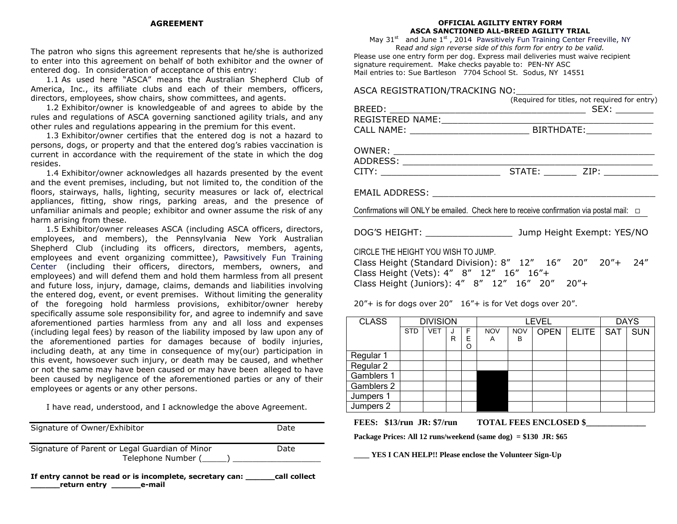#### **AGREEMENT**

The patron who signs this agreement represents that he/she is authorized to enter into this agreement on behalf of both exhibitor and the owner of entered dog. In consideration of acceptance of this entry:

1.1 As used here "ASCA" means the Australian Shepherd Club of America, Inc., its affiliate clubs and each of their members, officers, directors, employees, show chairs, show committees, and agents.

1.2 Exhibitor/owner is knowledgeable of and agrees to abide by the rules and regulations of ASCA governing sanctioned agility trials, and any other rules and regulations appearing in the premium for this event.

1.3 Exhibitor/owner certifies that the entered dog is not a hazard to persons, dogs, or property and that the entered dog's rabies vaccination is current in accordance with the requirement of the state in which the dog resides.

1.4 Exhibitor/owner acknowledges all hazards presented by the event and the event premises, including, but not limited to, the condition of the floors, stairways, halls, lighting, security measures or lack of, electrical appliances, fitting, show rings, parking areas, and the presence of unfamiliar animals and people; exhibitor and owner assume the risk of any harm arising from these.

1.5 Exhibitor/owner releases ASCA (including ASCA officers, directors, employees, and members), the Pennsylvania New York Australian Shepherd Club (including its officers, directors, members, agents, employees and event organizing committee), Pawsitively Fun Training Center (including their officers, directors, members, owners, and employees) and will defend them and hold them harmless from all present and future loss, injury, damage, claims, demands and liabilities involving the entered dog, event, or event premises. Without limiting the generality of the foregoing hold harmless provisions, exhibitor/owner hereby specifically assume sole responsibility for, and agree to indemnify and save aforementioned parties harmless from any and all loss and expenses (including legal fees) by reason of the liability imposed by law upon any of the aforementioned parties for damages because of bodily injuries, including death, at any time in consequence of my(our) participation in this event, howsoever such injury, or death may be caused, and whether or not the same may have been caused or may have been alleged to have been caused by negligence of the aforementioned parties or any of their employees or agents or any other persons.

I have read, understood, and I acknowledge the above Agreement.

| Signature of Owner/Exhibitor                                                | Date |
|-----------------------------------------------------------------------------|------|
| Signature of Parent or Legal Guardian of Minor<br>Telephone Number (______) | Date |
|                                                                             |      |

**If entry cannot be read or is incomplete, secretary can: \_\_\_\_\_\_call collect \_\_\_\_\_\_return entry \_\_\_\_\_\_e-mail**

#### **OFFICIAL AGILITY ENTRY FORM ASCA SANCTIONED ALL-BREED AGILITY TRIAL**

May  $31<sup>st</sup>$  and June  $1<sup>st</sup>$ , 2014 Pawsitively Fun Training Center Freeville, NY R*ead and sign reverse side of this form for entry to be valid.* Please use one entry form per dog. Express mail deliveries must waive recipient signature requirement. Make checks payable to: PEN-NY ASC Mail entries to: Sue Bartleson 7704 School St. Sodus, NY 14551

## ASCA REGISTRATION/TRACKING NO:\_\_\_\_\_\_\_\_\_\_\_\_\_\_\_\_\_\_\_\_\_\_\_\_\_

|                                                                                                                                                                                                                  | (Required for titles, not required for entry) |
|------------------------------------------------------------------------------------------------------------------------------------------------------------------------------------------------------------------|-----------------------------------------------|
|                                                                                                                                                                                                                  |                                               |
|                                                                                                                                                                                                                  |                                               |
|                                                                                                                                                                                                                  |                                               |
| EMAIL ADDRESS: New York State And The Manual Address of the Manual Address of the Manual Address of the Manual<br>Confirmations will ONLY be emailed. Check here to receive confirmation via postal mail: $\Box$ |                                               |
|                                                                                                                                                                                                                  |                                               |
| CIRCLE THE HEIGHT YOU WISH TO JUMP.<br>Class Height (Standard Division): 8" 12" 16" 20" 20"+ 24"<br>Class Height (Vets): 4" 8" 12" 16" 16"+<br>Class Height (Juniors): 4" 8" 12" 16" 20" 20"+                    |                                               |

20"+ is for dogs over 20" 16"+ is for Vet dogs over 20".

| <b>CLASS</b> | <b>DIVISION</b> |            |   |             | <b>LEVEL</b>    |                 |             |              | <b>DAYS</b> |            |
|--------------|-----------------|------------|---|-------------|-----------------|-----------------|-------------|--------------|-------------|------------|
|              | <b>STD</b>      | <b>VET</b> | R | F<br>Е<br>O | <b>NOV</b><br>Α | <b>NOV</b><br>в | <b>OPEN</b> | <b>ELITE</b> | <b>SAT</b>  | <b>SUN</b> |
| Regular 1    |                 |            |   |             |                 |                 |             |              |             |            |
| Regular 2    |                 |            |   |             |                 |                 |             |              |             |            |
| Gamblers 1   |                 |            |   |             |                 |                 |             |              |             |            |
| Gamblers 2   |                 |            |   |             |                 |                 |             |              |             |            |
| Jumpers 1    |                 |            |   |             |                 |                 |             |              |             |            |
| Jumpers 2    |                 |            |   |             |                 |                 |             |              |             |            |

FEES: \$13/run JR: \$7/run **TOTAL FEES ENCLOSED** \$

**Package Prices: All 12 runs/weekend (same dog) = \$130 JR: \$65** 

**\_\_\_\_ YES I CAN HELP!! Please enclose the Volunteer Sign-Up**